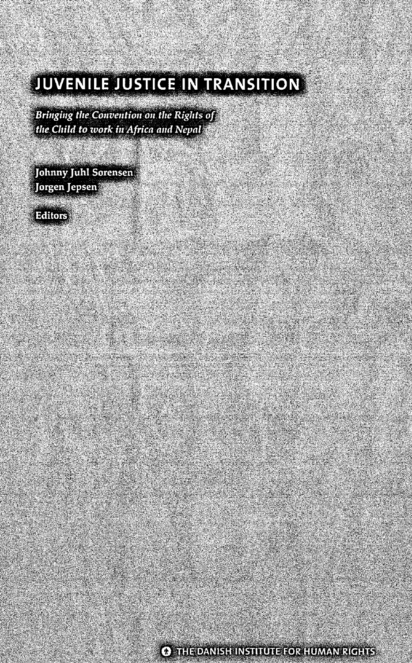# **JUVENILE JUSTICE IN TRANSITION**

N.

e de la propieta de la consta

Bringing the Convention on the Rights of the Child to work in Africa and Nepal

Johnny Juhl Sorensen Jorgen Jepsen

Editors

23

**(1) THE DANISH INSTITUTE FOR HUMAN RIGHTS**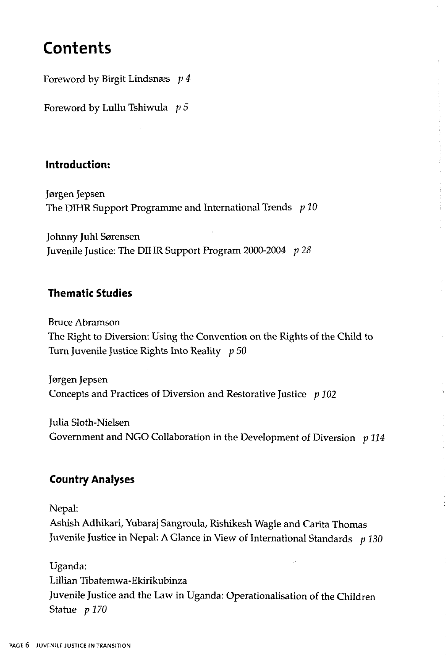## **Contents**

Foreword by Birgit Lindsnaes *p 4*

Foreword by Lullu Tshiwula *p 5*

#### **Introduction:**

Jergen Jepsen The DIHR Support Programme and International Trends *p 10*

Johnny Juhl Sarensen Juvenile Justice: The DIHR Support Program 2000-2004 *p 28*

#### **Thematic Studies**

Bruce Abramson The Right to Diversion: Using the Convention on the Rights of the Child to Turn Juvenile Justice Rights Into Reality *p 50*

Jörgen Jepsen Concepts and Practices of Diversion and Restorative Justice *p 102*

Julia Sloth-Nielsen Government and NGO Collaboration in the Development of Diversion *p 114*

### **Country Analyses**

Nepal:

Ashish Adhikari, Yubaraj Sangroula, Rishikesh Wagle and Carita Thomas Juvenile Justice in Nepal: A Glance in View of International Standards *p 130*

Uganda: Lillian Tibatemwa-Ekirikubinza Juvenile Justice and the Law in Uganda: Operationalisation of the Children Statue *p* 170